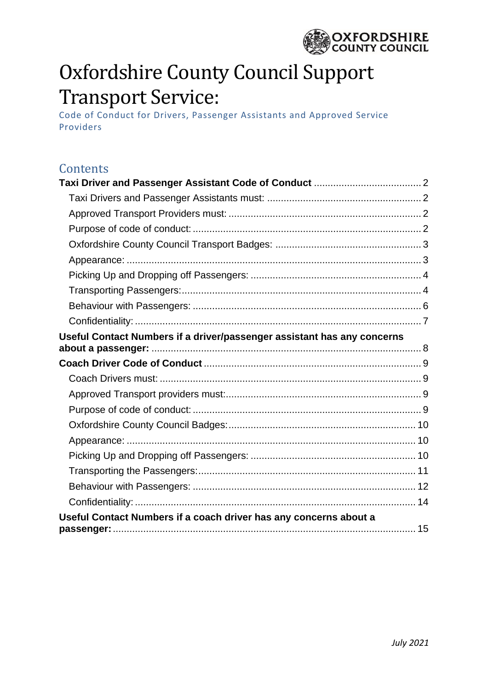

# Oxfordshire County Council Support Transport Service:

Code of Conduct for Drivers, Passenger Assistants and Approved Service Providers

| Contents                                                                |  |
|-------------------------------------------------------------------------|--|
|                                                                         |  |
|                                                                         |  |
|                                                                         |  |
|                                                                         |  |
|                                                                         |  |
|                                                                         |  |
|                                                                         |  |
|                                                                         |  |
|                                                                         |  |
|                                                                         |  |
| Useful Contact Numbers if a driver/passenger assistant has any concerns |  |
|                                                                         |  |
|                                                                         |  |
|                                                                         |  |
|                                                                         |  |
|                                                                         |  |
|                                                                         |  |
|                                                                         |  |
|                                                                         |  |
|                                                                         |  |
|                                                                         |  |
|                                                                         |  |
| Useful Contact Numbers if a coach driver has any concerns about a       |  |
|                                                                         |  |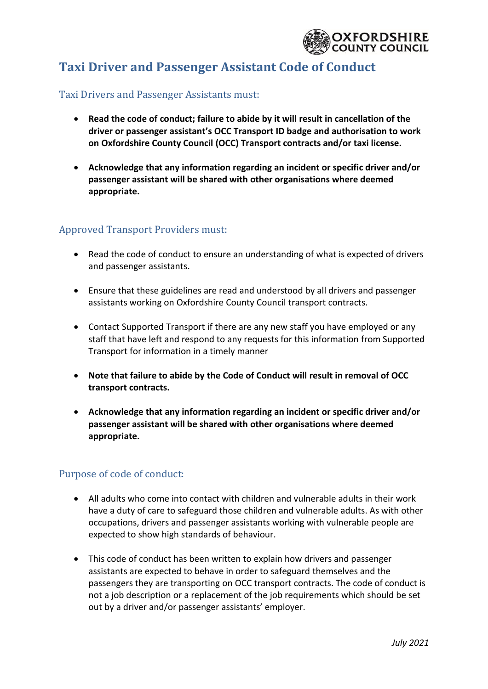

# <span id="page-1-0"></span>**Taxi Driver and Passenger Assistant Code of Conduct**

#### <span id="page-1-1"></span>Taxi Drivers and Passenger Assistants must:

- **Read the code of conduct; failure to abide by it will result in cancellation of the driver or passenger assistant's OCC Transport ID badge and authorisation to work on Oxfordshire County Council (OCC) Transport contracts and/or taxi license.**
- **Acknowledge that any information regarding an incident or specific driver and/or passenger assistant will be shared with other organisations where deemed appropriate.**

#### <span id="page-1-2"></span>Approved Transport Providers must:

- Read the code of conduct to ensure an understanding of what is expected of drivers and passenger assistants.
- Ensure that these guidelines are read and understood by all drivers and passenger assistants working on Oxfordshire County Council transport contracts.
- Contact Supported Transport if there are any new staff you have employed or any staff that have left and respond to any requests for this information from Supported Transport for information in a timely manner
- **Note that failure to abide by the Code of Conduct will result in removal of OCC transport contracts.**
- **Acknowledge that any information regarding an incident or specific driver and/or passenger assistant will be shared with other organisations where deemed appropriate.**

#### <span id="page-1-3"></span>Purpose of code of conduct:

- All adults who come into contact with children and vulnerable adults in their work have a duty of care to safeguard those children and vulnerable adults. As with other occupations, drivers and passenger assistants working with vulnerable people are expected to show high standards of behaviour.
- This code of conduct has been written to explain how drivers and passenger assistants are expected to behave in order to safeguard themselves and the passengers they are transporting on OCC transport contracts. The code of conduct is not a job description or a replacement of the job requirements which should be set out by a driver and/or passenger assistants' employer.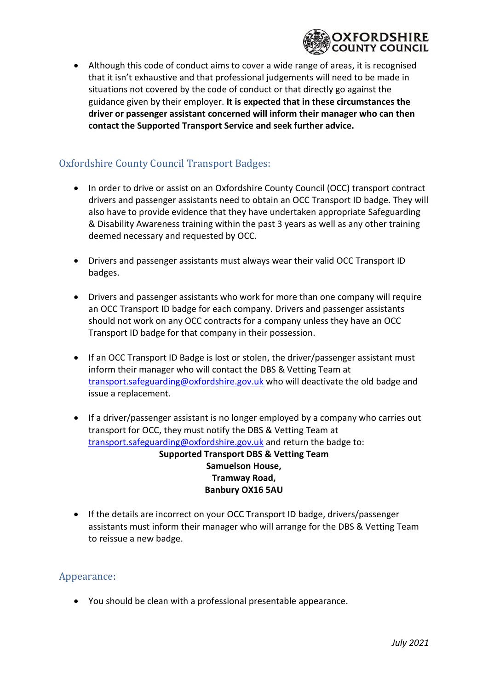

• Although this code of conduct aims to cover a wide range of areas, it is recognised that it isn't exhaustive and that professional judgements will need to be made in situations not covered by the code of conduct or that directly go against the guidance given by their employer. **It is expected that in these circumstances the driver or passenger assistant concerned will inform their manager who can then contact the Supported Transport Service and seek further advice.**

# <span id="page-2-0"></span>Oxfordshire County Council Transport Badges:

- In order to drive or assist on an Oxfordshire County Council (OCC) transport contract drivers and passenger assistants need to obtain an OCC Transport ID badge. They will also have to provide evidence that they have undertaken appropriate Safeguarding & Disability Awareness training within the past 3 years as well as any other training deemed necessary and requested by OCC.
- Drivers and passenger assistants must always wear their valid OCC Transport ID badges.
- Drivers and passenger assistants who work for more than one company will require an OCC Transport ID badge for each company. Drivers and passenger assistants should not work on any OCC contracts for a company unless they have an OCC Transport ID badge for that company in their possession.
- If an OCC Transport ID Badge is lost or stolen, the driver/passenger assistant must inform their manager who will contact the DBS & Vetting Team at [transport.safeguarding@oxfordshire.gov.uk](mailto:transport.safeguarding@oxfordshire.gov.uk) who will deactivate the old badge and issue a replacement.
- If a driver/passenger assistant is no longer employed by a company who carries out transport for OCC, they must notify the DBS & Vetting Team at [transport.safeguarding@oxfordshire.gov.uk](mailto:transport.safeguarding@oxfordshire.gov.uk) and return the badge to: **Supported Transport DBS & Vetting Team Samuelson House, Tramway Road, Banbury OX16 5AU**
- If the details are incorrect on your OCC Transport ID badge, drivers/passenger assistants must inform their manager who will arrange for the DBS & Vetting Team to reissue a new badge.

#### <span id="page-2-1"></span>Appearance:

• You should be clean with a professional presentable appearance.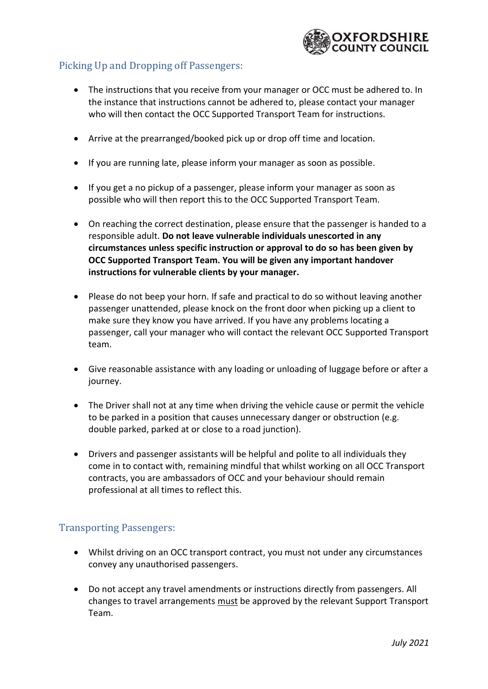

# <span id="page-3-0"></span>Picking Up and Dropping off Passengers:

- The instructions that you receive from your manager or OCC must be adhered to. In the instance that instructions cannot be adhered to, please contact your manager who will then contact the OCC Supported Transport Team for instructions.
- Arrive at the prearranged/booked pick up or drop off time and location.
- If you are running late, please inform your manager as soon as possible.
- If you get a no pickup of a passenger, please inform your manager as soon as possible who will then report this to the OCC Supported Transport Team.
- On reaching the correct destination, please ensure that the passenger is handed to a responsible adult. **Do not leave vulnerable individuals unescorted in any circumstances unless specific instruction or approval to do so has been given by OCC Supported Transport Team. You will be given any important handover instructions for vulnerable clients by your manager.**
- Please do not beep your horn. If safe and practical to do so without leaving another passenger unattended, please knock on the front door when picking up a client to make sure they know you have arrived. If you have any problems locating a passenger, call your manager who will contact the relevant OCC Supported Transport team.
- Give reasonable assistance with any loading or unloading of luggage before or after a journey.
- The Driver shall not at any time when driving the vehicle cause or permit the vehicle to be parked in a position that causes unnecessary danger or obstruction (e.g. double parked, parked at or close to a road junction).
- Drivers and passenger assistants will be helpful and polite to all individuals they come in to contact with, remaining mindful that whilst working on all OCC Transport contracts, you are ambassadors of OCC and your behaviour should remain professional at all times to reflect this.

#### <span id="page-3-1"></span>Transporting Passengers:

- Whilst driving on an OCC transport contract, you must not under any circumstances convey any unauthorised passengers.
- Do not accept any travel amendments or instructions directly from passengers. All changes to travel arrangements must be approved by the relevant Support Transport Team.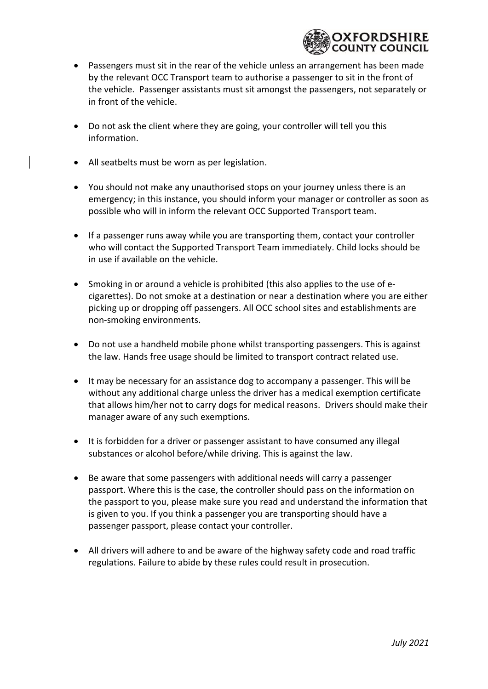

- Passengers must sit in the rear of the vehicle unless an arrangement has been made by the relevant OCC Transport team to authorise a passenger to sit in the front of the vehicle. Passenger assistants must sit amongst the passengers, not separately or in front of the vehicle.
- Do not ask the client where they are going, your controller will tell you this information.
- All seatbelts must be worn as per legislation.
- You should not make any unauthorised stops on your journey unless there is an emergency; in this instance, you should inform your manager or controller as soon as possible who will in inform the relevant OCC Supported Transport team.
- If a passenger runs away while you are transporting them, contact your controller who will contact the Supported Transport Team immediately. Child locks should be in use if available on the vehicle.
- Smoking in or around a vehicle is prohibited (this also applies to the use of ecigarettes). Do not smoke at a destination or near a destination where you are either picking up or dropping off passengers. All OCC school sites and establishments are non-smoking environments.
- Do not use a handheld mobile phone whilst transporting passengers. This is against the law. Hands free usage should be limited to transport contract related use.
- It may be necessary for an assistance dog to accompany a passenger. This will be without any additional charge unless the driver has a medical exemption certificate that allows him/her not to carry dogs for medical reasons. Drivers should make their manager aware of any such exemptions.
- It is forbidden for a driver or passenger assistant to have consumed any illegal substances or alcohol before/while driving. This is against the law.
- Be aware that some passengers with additional needs will carry a passenger passport. Where this is the case, the controller should pass on the information on the passport to you, please make sure you read and understand the information that is given to you. If you think a passenger you are transporting should have a passenger passport, please contact your controller.
- All drivers will adhere to and be aware of the highway safety code and road traffic regulations. Failure to abide by these rules could result in prosecution.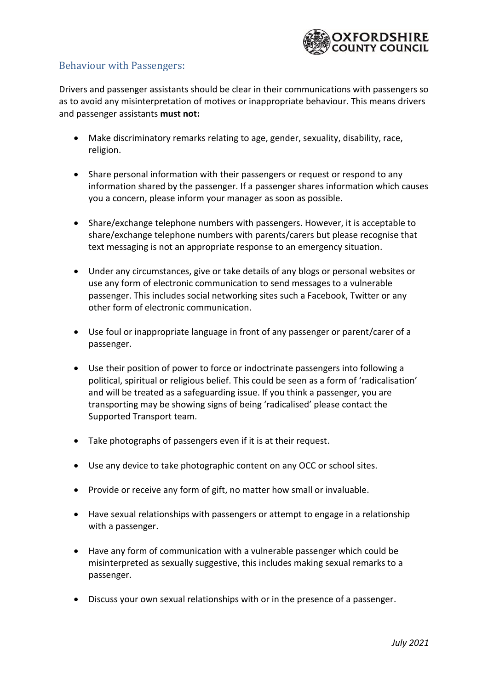

# <span id="page-5-0"></span>Behaviour with Passengers:

Drivers and passenger assistants should be clear in their communications with passengers so as to avoid any misinterpretation of motives or inappropriate behaviour. This means drivers and passenger assistants **must not:**

- Make discriminatory remarks relating to age, gender, sexuality, disability, race, religion.
- Share personal information with their passengers or request or respond to any information shared by the passenger. If a passenger shares information which causes you a concern, please inform your manager as soon as possible.
- Share/exchange telephone numbers with passengers. However, it is acceptable to share/exchange telephone numbers with parents/carers but please recognise that text messaging is not an appropriate response to an emergency situation.
- Under any circumstances, give or take details of any blogs or personal websites or use any form of electronic communication to send messages to a vulnerable passenger. This includes social networking sites such a Facebook, Twitter or any other form of electronic communication.
- Use foul or inappropriate language in front of any passenger or parent/carer of a passenger.
- Use their position of power to force or indoctrinate passengers into following a political, spiritual or religious belief. This could be seen as a form of 'radicalisation' and will be treated as a safeguarding issue. If you think a passenger, you are transporting may be showing signs of being 'radicalised' please contact the Supported Transport team.
- Take photographs of passengers even if it is at their request.
- Use any device to take photographic content on any OCC or school sites.
- Provide or receive any form of gift, no matter how small or invaluable.
- Have sexual relationships with passengers or attempt to engage in a relationship with a passenger.
- Have any form of communication with a vulnerable passenger which could be misinterpreted as sexually suggestive, this includes making sexual remarks to a passenger.
- Discuss your own sexual relationships with or in the presence of a passenger.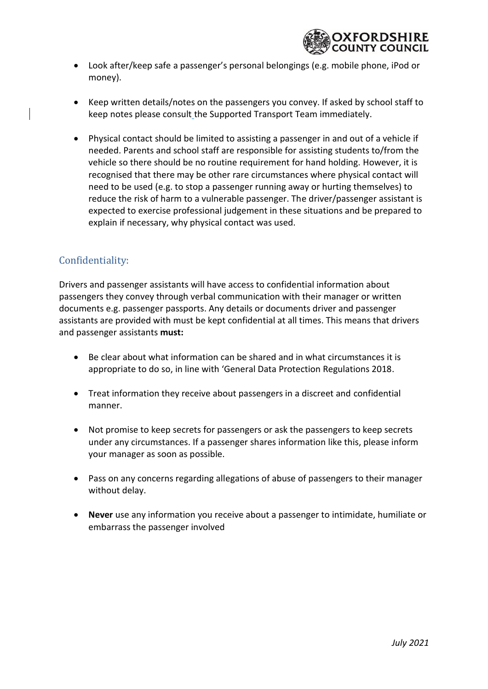

- Look after/keep safe a passenger's personal belongings (e.g. mobile phone, iPod or money).
- Keep written details/notes on the passengers you convey. If asked by school staff to keep notes please consult the Supported Transport Team immediately.
- Physical contact should be limited to assisting a passenger in and out of a vehicle if needed. Parents and school staff are responsible for assisting students to/from the vehicle so there should be no routine requirement for hand holding. However, it is recognised that there may be other rare circumstances where physical contact will need to be used (e.g. to stop a passenger running away or hurting themselves) to reduce the risk of harm to a vulnerable passenger. The driver/passenger assistant is expected to exercise professional judgement in these situations and be prepared to explain if necessary, why physical contact was used.

# <span id="page-6-0"></span>Confidentiality:

Drivers and passenger assistants will have access to confidential information about passengers they convey through verbal communication with their manager or written documents e.g. passenger passports. Any details or documents driver and passenger assistants are provided with must be kept confidential at all times. This means that drivers and passenger assistants **must:**

- Be clear about what information can be shared and in what circumstances it is appropriate to do so, in line with 'General Data Protection Regulations 2018.
- Treat information they receive about passengers in a discreet and confidential manner.
- Not promise to keep secrets for passengers or ask the passengers to keep secrets under any circumstances. If a passenger shares information like this, please inform your manager as soon as possible.
- Pass on any concerns regarding allegations of abuse of passengers to their manager without delay.
- **Never** use any information you receive about a passenger to intimidate, humiliate or embarrass the passenger involved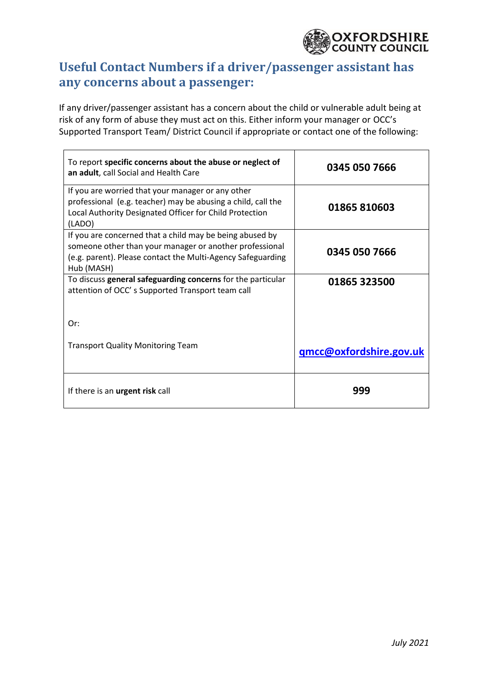

# <span id="page-7-0"></span>**Useful Contact Numbers if a driver/passenger assistant has any concerns about a passenger:**

If any driver/passenger assistant has a concern about the child or vulnerable adult being at risk of any form of abuse they must act on this. Either inform your manager or OCC's Supported Transport Team/ District Council if appropriate or contact one of the following:

| To report specific concerns about the abuse or neglect of<br>an adult, call Social and Health Care                                                                                               | 0345 050 7666           |
|--------------------------------------------------------------------------------------------------------------------------------------------------------------------------------------------------|-------------------------|
| If you are worried that your manager or any other<br>professional (e.g. teacher) may be abusing a child, call the<br>Local Authority Designated Officer for Child Protection<br>(LADO)           | 01865 810603            |
| If you are concerned that a child may be being abused by<br>someone other than your manager or another professional<br>(e.g. parent). Please contact the Multi-Agency Safeguarding<br>Hub (MASH) | 0345 050 7666           |
| To discuss general safeguarding concerns for the particular<br>attention of OCC's Supported Transport team call                                                                                  | 01865 323500            |
| Or:                                                                                                                                                                                              |                         |
| <b>Transport Quality Monitoring Team</b>                                                                                                                                                         | qmcc@oxfordshire.gov.uk |
| If there is an <b>urgent risk</b> call                                                                                                                                                           | 999                     |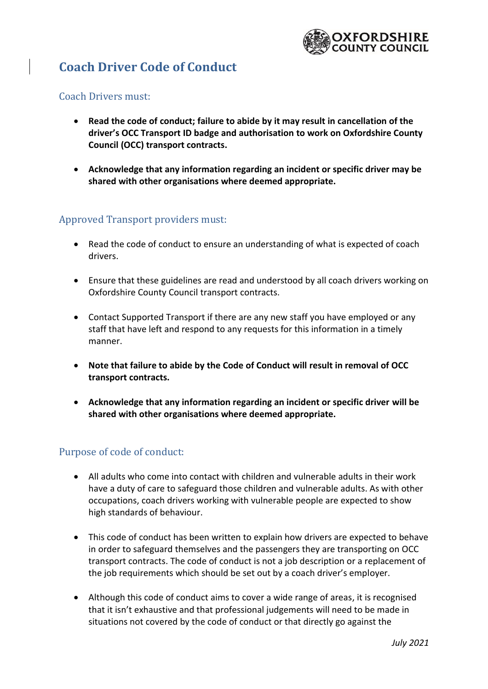

# <span id="page-8-0"></span>**Coach Driver Code of Conduct**

#### <span id="page-8-1"></span>Coach Drivers must:

- **Read the code of conduct; failure to abide by it may result in cancellation of the driver's OCC Transport ID badge and authorisation to work on Oxfordshire County Council (OCC) transport contracts.**
- **Acknowledge that any information regarding an incident or specific driver may be shared with other organisations where deemed appropriate.**

### <span id="page-8-2"></span>Approved Transport providers must:

- Read the code of conduct to ensure an understanding of what is expected of coach drivers.
- Ensure that these guidelines are read and understood by all coach drivers working on Oxfordshire County Council transport contracts.
- Contact Supported Transport if there are any new staff you have employed or any staff that have left and respond to any requests for this information in a timely manner.
- **Note that failure to abide by the Code of Conduct will result in removal of OCC transport contracts.**
- **Acknowledge that any information regarding an incident or specific driver will be shared with other organisations where deemed appropriate.**

#### <span id="page-8-3"></span>Purpose of code of conduct:

- All adults who come into contact with children and vulnerable adults in their work have a duty of care to safeguard those children and vulnerable adults. As with other occupations, coach drivers working with vulnerable people are expected to show high standards of behaviour.
- This code of conduct has been written to explain how drivers are expected to behave in order to safeguard themselves and the passengers they are transporting on OCC transport contracts. The code of conduct is not a job description or a replacement of the job requirements which should be set out by a coach driver's employer.
- Although this code of conduct aims to cover a wide range of areas, it is recognised that it isn't exhaustive and that professional judgements will need to be made in situations not covered by the code of conduct or that directly go against the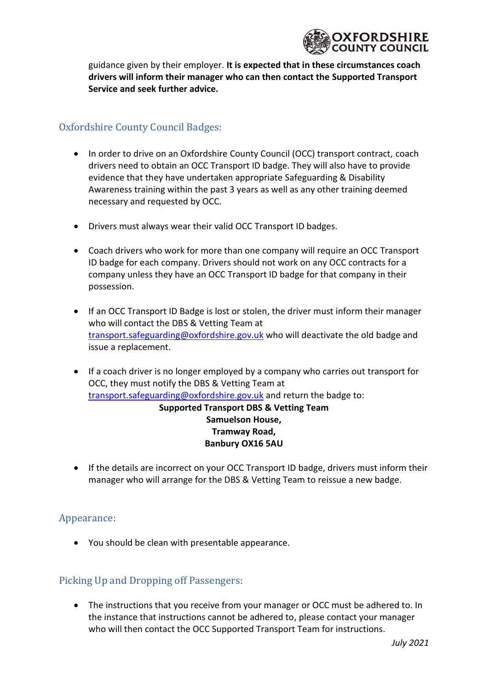

guidance given by their employer. **It is expected that in these circumstances coach drivers will inform their manager who can then contact the Supported Transport Service and seek further advice.**

# <span id="page-9-0"></span>Oxfordshire County Council Badges:

- In order to drive on an Oxfordshire County Council (OCC) transport contract, coach drivers need to obtain an OCC Transport ID badge. They will also have to provide evidence that they have undertaken appropriate Safeguarding & Disability Awareness training within the past 3 years as well as any other training deemed necessary and requested by OCC.
- Drivers must always wear their valid OCC Transport ID badges.
- Coach drivers who work for more than one company will require an OCC Transport ID badge for each company. Drivers should not work on any OCC contracts for a company unless they have an OCC Transport ID badge for that company in their possession.
- If an OCC Transport ID Badge is lost or stolen, the driver must inform their manager who will contact the DBS & Vetting Team at [transport.safeguarding@oxfordshire.gov.uk](mailto:transport.safeguarding@oxfordshire.gov.uk) who will deactivate the old badge and issue a replacement.
- If a coach driver is no longer employed by a company who carries out transport for OCC, they must notify the DBS & Vetting Team at [transport.safeguarding@oxfordshire.gov.uk](mailto:transport.safeguarding@oxfordshire.gov.uk) and return the badge to: **Supported Transport DBS & Vetting Team**

### **Samuelson House, Tramway Road, Banbury OX16 5AU**

• If the details are incorrect on your OCC Transport ID badge, drivers must inform their manager who will arrange for the DBS & Vetting Team to reissue a new badge.

#### <span id="page-9-1"></span>Appearance:

• You should be clean with presentable appearance.

# <span id="page-9-2"></span>Picking Up and Dropping off Passengers:

• The instructions that you receive from your manager or OCC must be adhered to. In the instance that instructions cannot be adhered to, please contact your manager who will then contact the OCC Supported Transport Team for instructions.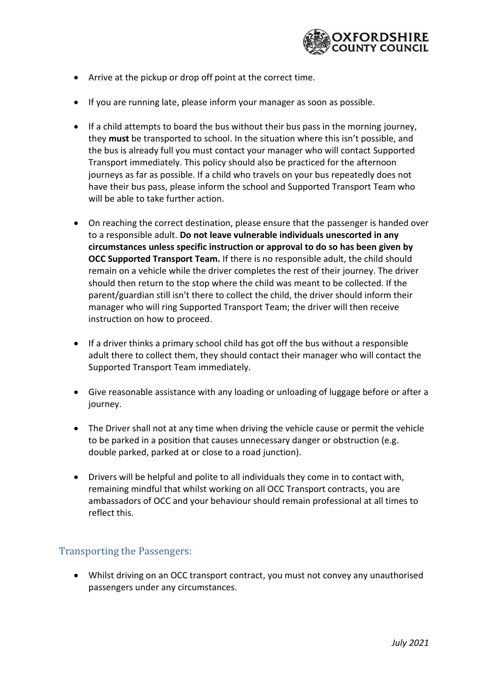

- Arrive at the pickup or drop off point at the correct time.
- If you are running late, please inform your manager as soon as possible.
- If a child attempts to board the bus without their bus pass in the morning journey, they **must** be transported to school. In the situation where this isn't possible, and the bus is already full you must contact your manager who will contact Supported Transport immediately. This policy should also be practiced for the afternoon journeys as far as possible. If a child who travels on your bus repeatedly does not have their bus pass, please inform the school and Supported Transport Team who will be able to take further action.
- On reaching the correct destination, please ensure that the passenger is handed over to a responsible adult. **Do not leave vulnerable individuals unescorted in any circumstances unless specific instruction or approval to do so has been given by OCC Supported Transport Team.** If there is no responsible adult, the child should remain on a vehicle while the driver completes the rest of their journey. The driver should then return to the stop where the child was meant to be collected. If the parent/guardian still isn't there to collect the child, the driver should inform their manager who will ring Supported Transport Team; the driver will then receive instruction on how to proceed.
- If a driver thinks a primary school child has got off the bus without a responsible adult there to collect them, they should contact their manager who will contact the Supported Transport Team immediately.
- Give reasonable assistance with any loading or unloading of luggage before or after a journey.
- The Driver shall not at any time when driving the vehicle cause or permit the vehicle to be parked in a position that causes unnecessary danger or obstruction (e.g. double parked, parked at or close to a road junction).
- Drivers will be helpful and polite to all individuals they come in to contact with, remaining mindful that whilst working on all OCC Transport contracts, you are ambassadors of OCC and your behaviour should remain professional at all times to reflect this.

#### <span id="page-10-0"></span>Transporting the Passengers:

• Whilst driving on an OCC transport contract, you must not convey any unauthorised passengers under any circumstances.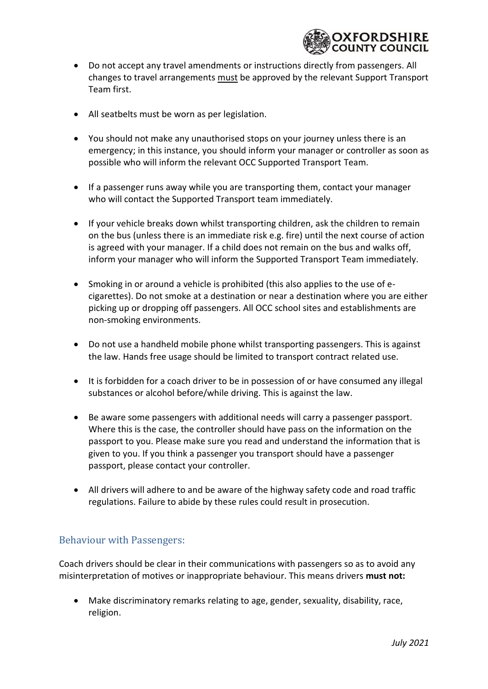

- Do not accept any travel amendments or instructions directly from passengers. All changes to travel arrangements must be approved by the relevant Support Transport Team first.
- All seatbelts must be worn as per legislation.
- You should not make any unauthorised stops on your journey unless there is an emergency; in this instance, you should inform your manager or controller as soon as possible who will inform the relevant OCC Supported Transport Team.
- If a passenger runs away while you are transporting them, contact your manager who will contact the Supported Transport team immediately.
- If your vehicle breaks down whilst transporting children, ask the children to remain on the bus (unless there is an immediate risk e.g. fire) until the next course of action is agreed with your manager. If a child does not remain on the bus and walks off, inform your manager who will inform the Supported Transport Team immediately.
- Smoking in or around a vehicle is prohibited (this also applies to the use of ecigarettes). Do not smoke at a destination or near a destination where you are either picking up or dropping off passengers. All OCC school sites and establishments are non-smoking environments.
- Do not use a handheld mobile phone whilst transporting passengers. This is against the law. Hands free usage should be limited to transport contract related use.
- It is forbidden for a coach driver to be in possession of or have consumed any illegal substances or alcohol before/while driving. This is against the law.
- Be aware some passengers with additional needs will carry a passenger passport. Where this is the case, the controller should have pass on the information on the passport to you. Please make sure you read and understand the information that is given to you. If you think a passenger you transport should have a passenger passport, please contact your controller.
- All drivers will adhere to and be aware of the highway safety code and road traffic regulations. Failure to abide by these rules could result in prosecution.

# <span id="page-11-0"></span>Behaviour with Passengers:

Coach drivers should be clear in their communications with passengers so as to avoid any misinterpretation of motives or inappropriate behaviour. This means drivers **must not:**

• Make discriminatory remarks relating to age, gender, sexuality, disability, race, religion.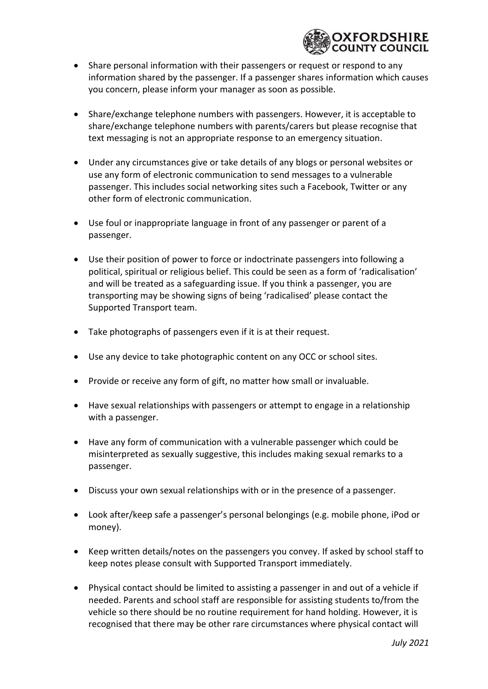

- Share personal information with their passengers or request or respond to any information shared by the passenger. If a passenger shares information which causes you concern, please inform your manager as soon as possible.
- Share/exchange telephone numbers with passengers. However, it is acceptable to share/exchange telephone numbers with parents/carers but please recognise that text messaging is not an appropriate response to an emergency situation.
- Under any circumstances give or take details of any blogs or personal websites or use any form of electronic communication to send messages to a vulnerable passenger. This includes social networking sites such a Facebook, Twitter or any other form of electronic communication.
- Use foul or inappropriate language in front of any passenger or parent of a passenger.
- Use their position of power to force or indoctrinate passengers into following a political, spiritual or religious belief. This could be seen as a form of 'radicalisation' and will be treated as a safeguarding issue. If you think a passenger, you are transporting may be showing signs of being 'radicalised' please contact the Supported Transport team.
- Take photographs of passengers even if it is at their request.
- Use any device to take photographic content on any OCC or school sites.
- Provide or receive any form of gift, no matter how small or invaluable.
- Have sexual relationships with passengers or attempt to engage in a relationship with a passenger.
- Have any form of communication with a vulnerable passenger which could be misinterpreted as sexually suggestive, this includes making sexual remarks to a passenger.
- Discuss your own sexual relationships with or in the presence of a passenger.
- Look after/keep safe a passenger's personal belongings (e.g. mobile phone, iPod or money).
- Keep written details/notes on the passengers you convey. If asked by school staff to keep notes please consult with Supported Transport immediately.
- Physical contact should be limited to assisting a passenger in and out of a vehicle if needed. Parents and school staff are responsible for assisting students to/from the vehicle so there should be no routine requirement for hand holding. However, it is recognised that there may be other rare circumstances where physical contact will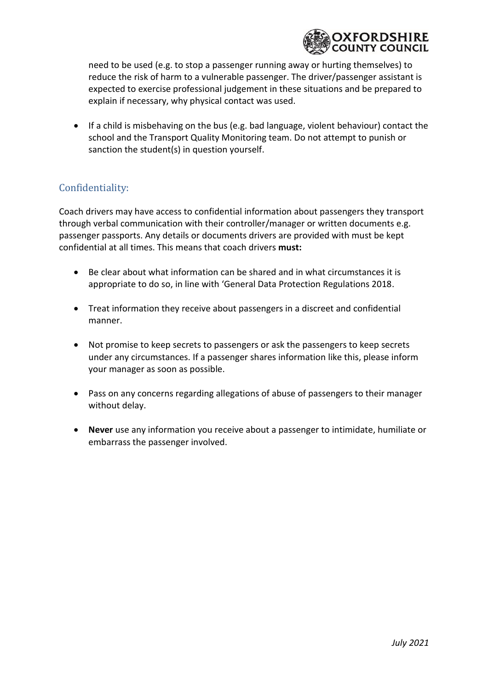

need to be used (e.g. to stop a passenger running away or hurting themselves) to reduce the risk of harm to a vulnerable passenger. The driver/passenger assistant is expected to exercise professional judgement in these situations and be prepared to explain if necessary, why physical contact was used.

• If a child is misbehaving on the bus (e.g. bad language, violent behaviour) contact the school and the Transport Quality Monitoring team. Do not attempt to punish or sanction the student(s) in question yourself.

# <span id="page-13-0"></span>Confidentiality:

Coach drivers may have access to confidential information about passengers they transport through verbal communication with their controller/manager or written documents e.g. passenger passports. Any details or documents drivers are provided with must be kept confidential at all times. This means that coach drivers **must:**

- Be clear about what information can be shared and in what circumstances it is appropriate to do so, in line with 'General Data Protection Regulations 2018.
- Treat information they receive about passengers in a discreet and confidential manner.
- Not promise to keep secrets to passengers or ask the passengers to keep secrets under any circumstances. If a passenger shares information like this, please inform your manager as soon as possible.
- Pass on any concerns regarding allegations of abuse of passengers to their manager without delay.
- **Never** use any information you receive about a passenger to intimidate, humiliate or embarrass the passenger involved.